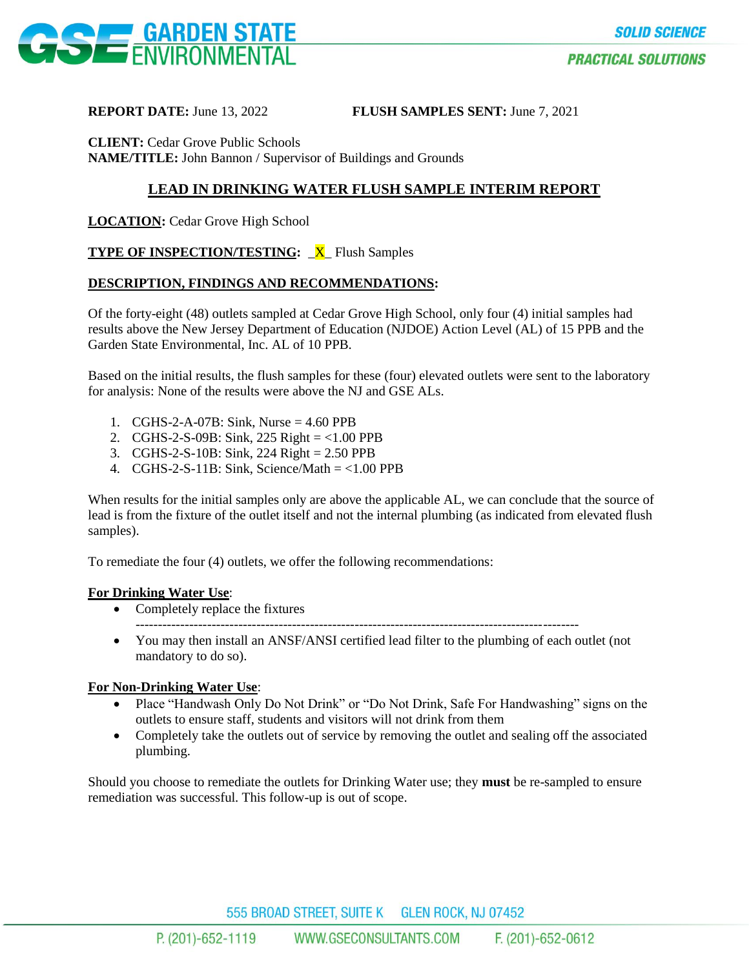

**REPORT DATE:** June 13, 2022 **FLUSH SAMPLES SENT:** June 7, 2021

**CLIENT:** Cedar Grove Public Schools **NAME/TITLE:** John Bannon / Supervisor of Buildings and Grounds

# **LEAD IN DRINKING WATER FLUSH SAMPLE INTERIM REPORT**

**LOCATION:** Cedar Grove High School

## **TYPE OF INSPECTION/TESTING:** \_**X**\_ Flush Samples

### **DESCRIPTION, FINDINGS AND RECOMMENDATIONS:**

Of the forty-eight (48) outlets sampled at Cedar Grove High School, only four (4) initial samples had results above the New Jersey Department of Education (NJDOE) Action Level (AL) of 15 PPB and the Garden State Environmental, Inc. AL of 10 PPB.

Based on the initial results, the flush samples for these (four) elevated outlets were sent to the laboratory for analysis: None of the results were above the NJ and GSE ALs.

- 1. CGHS-2-A-07B: Sink, Nurse = 4.60 PPB
- 2. CGHS-2-S-09B: Sink, 225 Right = <1.00 PPB
- 3. CGHS-2-S-10B: Sink, 224 Right = 2.50 PPB
- 4. CGHS-2-S-11B: Sink, Science/Math  $=$  <1.00 PPB

When results for the initial samples only are above the applicable AL, we can conclude that the source of lead is from the fixture of the outlet itself and not the internal plumbing (as indicated from elevated flush samples).

To remediate the four (4) outlets, we offer the following recommendations:

#### **For Drinking Water Use**:

- Completely replace the fixtures
- You may then install an ANSF/ANSI certified lead filter to the plumbing of each outlet (not mandatory to do so).

---------------------------------------------------------------------------------------------------

### **For Non-Drinking Water Use**:

- Place "Handwash Only Do Not Drink" or "Do Not Drink, Safe For Handwashing" signs on the outlets to ensure staff, students and visitors will not drink from them
- Completely take the outlets out of service by removing the outlet and sealing off the associated plumbing.

Should you choose to remediate the outlets for Drinking Water use; they **must** be re-sampled to ensure remediation was successful. This follow-up is out of scope.

555 BROAD STREET, SUITE K GLEN ROCK, NJ 07452